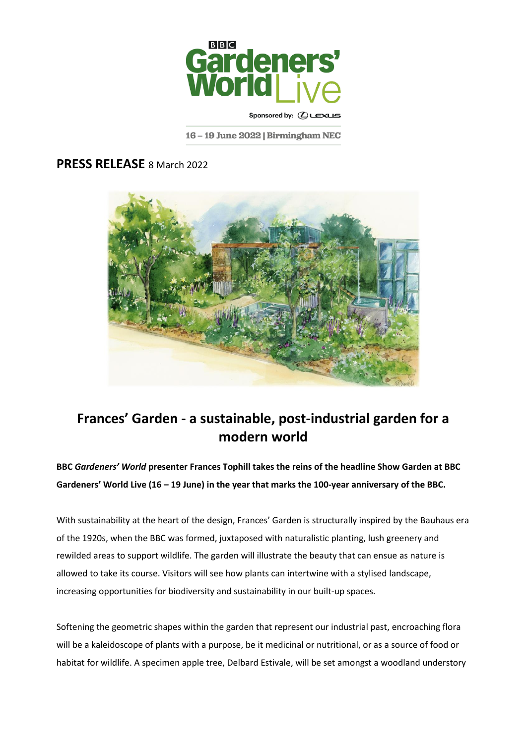

Sponsored by: (CLEXUS

16 - 19 June 2022 | Birmingham NEC

## **PRESS RELEASE** 8 March 2022



## **Frances' Garden - a sustainable, post-industrial garden for a modern world**

**BBC** *Gardeners' World* **presenter Frances Tophill takes the reins of the headline Show Garden at BBC Gardeners' World Live (16 – 19 June) in the year that marks the 100-year anniversary of the BBC.**

With sustainability at the heart of the design, Frances' Garden is structurally inspired by the Bauhaus era of the 1920s, when the BBC was formed, juxtaposed with naturalistic planting, lush greenery and rewilded areas to support wildlife. The garden will illustrate the beauty that can ensue as nature is allowed to take its course. Visitors will see how plants can intertwine with a stylised landscape, increasing opportunities for biodiversity and sustainability in our built-up spaces.

Softening the geometric shapes within the garden that represent our industrial past, encroaching flora will be a kaleidoscope of plants with a purpose, be it medicinal or nutritional, or as a source of food or habitat for wildlife. A specimen apple tree, Delbard Estivale, will be set amongst a woodland understory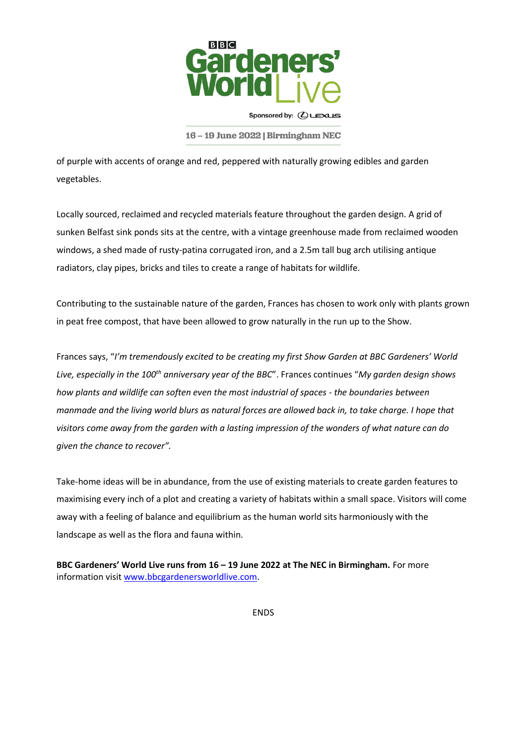

Sponsored by: (CLEXUS

16 - 19 June 2022 | Birmingham NEC

of purple with accents of orange and red, peppered with naturally growing edibles and garden vegetables.

Locally sourced, reclaimed and recycled materials feature throughout the garden design. A grid of sunken Belfast sink ponds sits at the centre, with a vintage greenhouse made from reclaimed wooden windows, a shed made of rusty-patina corrugated iron, and a 2.5m tall bug arch utilising antique radiators, clay pipes, bricks and tiles to create a range of habitats for wildlife.

Contributing to the sustainable nature of the garden, Frances has chosen to work only with plants grown in peat free compost, that have been allowed to grow naturally in the run up to the Show.

Frances says, "*I'm tremendously excited to be creating my first Show Garden at BBC Gardeners' World Live, especially in the 100th anniversary year of the BBC*". Frances continues "*My garden design shows how plants and wildlife can soften even the most industrial of spaces - the boundaries between manmade and the living world blurs as natural forces are allowed back in, to take charge. I hope that visitors come away from the garden with a lasting impression of the wonders of what nature can do given the chance to recover".*

Take-home ideas will be in abundance, from the use of existing materials to create garden features to maximising every inch of a plot and creating a variety of habitats within a small space. Visitors will come away with a feeling of balance and equilibrium as the human world sits harmoniously with the landscape as well as the flora and fauna within.

**BBC Gardeners' World Live runs from 16 – 19 June 2022 at The NEC in Birmingham.** For more information visit [www.bbcgardenersworldlive.com.](http://www.bbcgardenersworldlive.com/)

ENDS